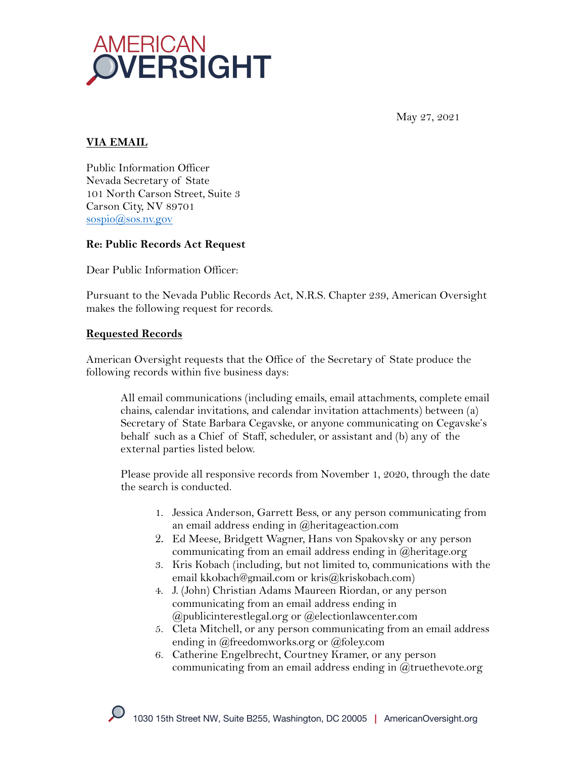

May 27, 2021

# **VIA EMAIL**

Public Information Officer Nevada Secretary of State 101 North Carson Street, Suite 3 Carson City, NV 89701 sospio@sos.nv.gov

### **Re: Public Records Act Request**

Dear Public Information Officer:

Pursuant to the Nevada Public Records Act, N.R.S. Chapter 239, American Oversight makes the following request for records.

### **Requested Records**

American Oversight requests that the Office of the Secretary of State produce the following records within five business days:

All email communications (including emails, email attachments, complete email chains, calendar invitations, and calendar invitation attachments) between (a) Secretary of State Barbara Cegavske, or anyone communicating on Cegavske's behalf such as a Chief of Staff, scheduler, or assistant and (b) any of the external parties listed below.

Please provide all responsive records from November 1, 2020, through the date the search is conducted.

- 1. Jessica Anderson, Garrett Bess, or any person communicating from an email address ending in @heritageaction.com
- 2. Ed Meese, Bridgett Wagner, Hans von Spakovsky or any person communicating from an email address ending in @heritage.org
- 3. Kris Kobach (including, but not limited to, communications with the email kkobach@gmail.com or kris@kriskobach.com)
- 4. J. (John) Christian Adams Maureen Riordan, or any person communicating from an email address ending in @publicinterestlegal.org or @electionlawcenter.com
- 5. Cleta Mitchell, or any person communicating from an email address ending in @freedomworks.org or @foley.com
- 6. Catherine Engelbrecht, Courtney Kramer, or any person communicating from an email address ending in @truethevote.org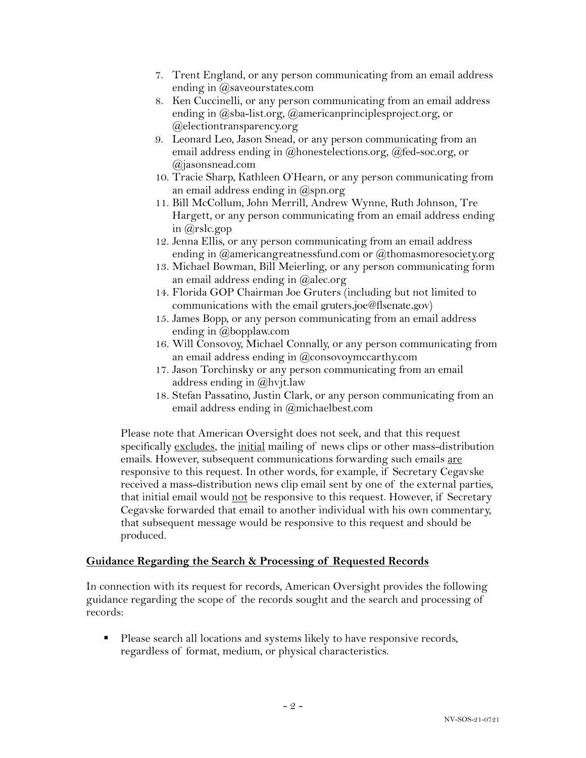- 7. Trent England, or any person communicating from an email address ending in @saveourstates.com
- 8. Ken Cuccinelli, or any person communicating from an email address ending in @sba-list.org, @americanprinciplesproject.org, or @electiontransparency.org
- 9. Leonard Leo, Jason Snead, or any person communicating from an email address ending in @honestelections.org, @fed-soc.org, or @jasonsnead.com
- 10. Tracie Sharp, Kathleen O'Hearn, or any person communicating from an email address ending in  $(\partial_{\beta}$ spn.org
- 11. Bill McCollum, John Merrill, Andrew Wynne, Ruth Johnson, Tre Hargett, or any person communicating from an email address ending in @rslc.gop
- 12. Jenna Ellis, or any person communicating from an email address ending in  $@$ americangreatnessfund.com or  $@$ thomasmoresociety.org
- 13. Michael Bowman, Bill Meierling, or any person communicating form an email address ending in @alec.org
- 14. Florida GOP Chairman Joe Gruters (including but not limited to communications with the email gruters.joe@flsenate.gov)
- 15. James Bopp, or any person communicating from an email address ending in @bopplaw.com
- 16. Will Consovoy, Michael Connally, or any person communicating from an email address ending in @consovoymccarthy.com
- 17. Jason Torchinsky or any person communicating from an email address ending in @hvjt.law
- 18. Stefan Passatino, Justin Clark, or any person communicating from an email address ending in @michaelbest.com

Please note that American Oversight does not seek, and that this request specifically excludes, the initial mailing of news clips or other mass-distribution emails. However, subsequent communications forwarding such emails are responsive to this request. In other words, for example, if Secretary Cegavske received a mass-distribution news clip email sent by one of the external parties, that initial email would not be responsive to this request. However, if Secretary Cegavske forwarded that email to another individual with his own commentary, that subsequent message would be responsive to this request and should be produced.

#### **Guidance Regarding the Search & Processing of Requested Records**

In connection with its request for records, American Oversight provides the following guidance regarding the scope of the records sought and the search and processing of records:

■ Please search all locations and systems likely to have responsive records, regardless of format, medium, or physical characteristics.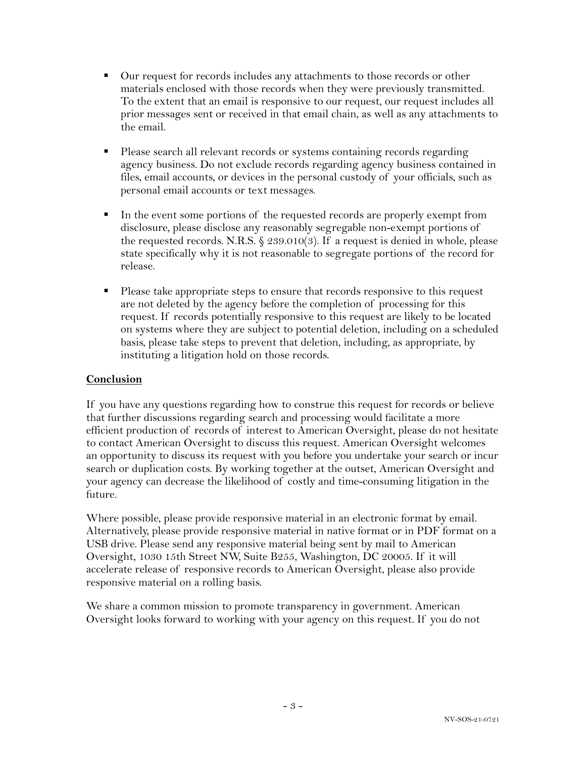- Our request for records includes any attachments to those records or other materials enclosed with those records when they were previously transmitted. To the extent that an email is responsive to our request, our request includes all prior messages sent or received in that email chain, as well as any attachments to the email.
- Please search all relevant records or systems containing records regarding agency business. Do not exclude records regarding agency business contained in files, email accounts, or devices in the personal custody of your officials, such as personal email accounts or text messages.
- In the event some portions of the requested records are properly exempt from disclosure, please disclose any reasonably segregable non-exempt portions of the requested records. N.R.S.  $\S 239.010(3)$ . If a request is denied in whole, please state specifically why it is not reasonable to segregate portions of the record for release.
- Please take appropriate steps to ensure that records responsive to this request are not deleted by the agency before the completion of processing for this request. If records potentially responsive to this request are likely to be located on systems where they are subject to potential deletion, including on a scheduled basis, please take steps to prevent that deletion, including, as appropriate, by instituting a litigation hold on those records.

## **Conclusion**

If you have any questions regarding how to construe this request for records or believe that further discussions regarding search and processing would facilitate a more efficient production of records of interest to American Oversight, please do not hesitate to contact American Oversight to discuss this request. American Oversight welcomes an opportunity to discuss its request with you before you undertake your search or incur search or duplication costs. By working together at the outset, American Oversight and your agency can decrease the likelihood of costly and time-consuming litigation in the future.

Where possible, please provide responsive material in an electronic format by email. Alternatively, please provide responsive material in native format or in PDF format on a USB drive. Please send any responsive material being sent by mail to American Oversight, 1030 15th Street NW, Suite B255, Washington, DC 20005. If it will accelerate release of responsive records to American Oversight, please also provide responsive material on a rolling basis.

We share a common mission to promote transparency in government. American Oversight looks forward to working with your agency on this request. If you do not